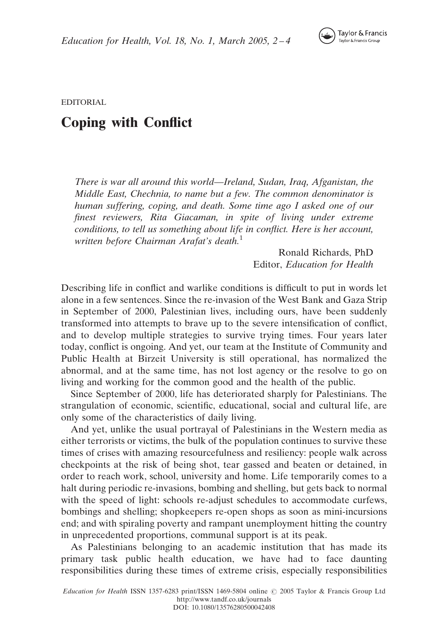

EDITORIAL

## Coping with Conflict

There is war all around this world—Ireland, Sudan, Iraq, Afganistan, the Middle East, Chechnia, to name but a few. The common denominator is human suffering, coping, and death. Some time ago I asked one of our finest reviewers, Rita Giacaman, in spite of living under extreme conditions, to tell us something about life in conflict. Here is her account, written before Chairman Arafat's death.<sup>1</sup>

> Ronald Richards, PhD Editor, Education for Health

Describing life in conflict and warlike conditions is difficult to put in words let alone in a few sentences. Since the re-invasion of the West Bank and Gaza Strip in September of 2000, Palestinian lives, including ours, have been suddenly transformed into attempts to brave up to the severe intensification of conflict, and to develop multiple strategies to survive trying times. Four years later today, conflict is ongoing. And yet, our team at the Institute of Community and Public Health at Birzeit University is still operational, has normalized the abnormal, and at the same time, has not lost agency or the resolve to go on living and working for the common good and the health of the public.

Since September of 2000, life has deteriorated sharply for Palestinians. The strangulation of economic, scientific, educational, social and cultural life, are only some of the characteristics of daily living.

And yet, unlike the usual portrayal of Palestinians in the Western media as either terrorists or victims, the bulk of the population continues to survive these times of crises with amazing resourcefulness and resiliency: people walk across checkpoints at the risk of being shot, tear gassed and beaten or detained, in order to reach work, school, university and home. Life temporarily comes to a halt during periodic re-invasions, bombing and shelling, but gets back to normal with the speed of light: schools re-adjust schedules to accommodate curfews, bombings and shelling; shopkeepers re-open shops as soon as mini-incursions end; and with spiraling poverty and rampant unemployment hitting the country in unprecedented proportions, communal support is at its peak.

As Palestinians belonging to an academic institution that has made its primary task public health education, we have had to face daunting responsibilities during these times of extreme crisis, especially responsibilities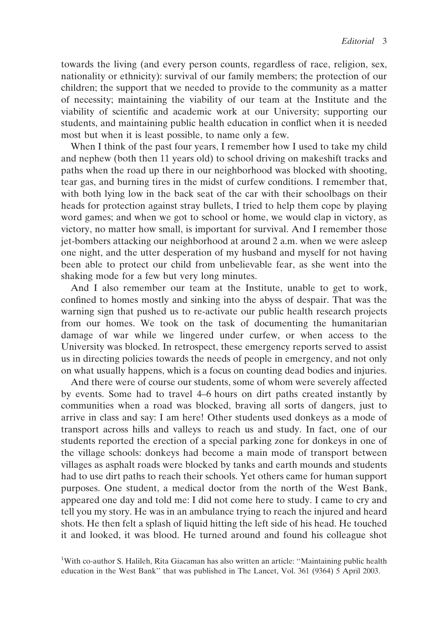towards the living (and every person counts, regardless of race, religion, sex, nationality or ethnicity): survival of our family members; the protection of our children; the support that we needed to provide to the community as a matter of necessity; maintaining the viability of our team at the Institute and the viability of scientific and academic work at our University; supporting our students, and maintaining public health education in conflict when it is needed most but when it is least possible, to name only a few.

When I think of the past four years, I remember how I used to take my child and nephew (both then 11 years old) to school driving on makeshift tracks and paths when the road up there in our neighborhood was blocked with shooting, tear gas, and burning tires in the midst of curfew conditions. I remember that, with both lying low in the back seat of the car with their schoolbags on their heads for protection against stray bullets, I tried to help them cope by playing word games; and when we got to school or home, we would clap in victory, as victory, no matter how small, is important for survival. And I remember those jet-bombers attacking our neighborhood at around 2 a.m. when we were asleep one night, and the utter desperation of my husband and myself for not having been able to protect our child from unbelievable fear, as she went into the shaking mode for a few but very long minutes.

And I also remember our team at the Institute, unable to get to work, confined to homes mostly and sinking into the abyss of despair. That was the warning sign that pushed us to re-activate our public health research projects from our homes. We took on the task of documenting the humanitarian damage of war while we lingered under curfew, or when access to the University was blocked. In retrospect, these emergency reports served to assist us in directing policies towards the needs of people in emergency, and not only on what usually happens, which is a focus on counting dead bodies and injuries.

And there were of course our students, some of whom were severely affected by events. Some had to travel 4–6 hours on dirt paths created instantly by communities when a road was blocked, braving all sorts of dangers, just to arrive in class and say: I am here! Other students used donkeys as a mode of transport across hills and valleys to reach us and study. In fact, one of our students reported the erection of a special parking zone for donkeys in one of the village schools: donkeys had become a main mode of transport between villages as asphalt roads were blocked by tanks and earth mounds and students had to use dirt paths to reach their schools. Yet others came for human support purposes. One student, a medical doctor from the north of the West Bank, appeared one day and told me: I did not come here to study. I came to cry and tell you my story. He was in an ambulance trying to reach the injured and heard shots. He then felt a splash of liquid hitting the left side of his head. He touched it and looked, it was blood. He turned around and found his colleague shot

<sup>&</sup>lt;sup>1</sup>With co-author S. Halileh, Rita Giacaman has also written an article: "Maintaining public health education in the West Bank'' that was published in The Lancet, Vol. 361 (9364) 5 April 2003.